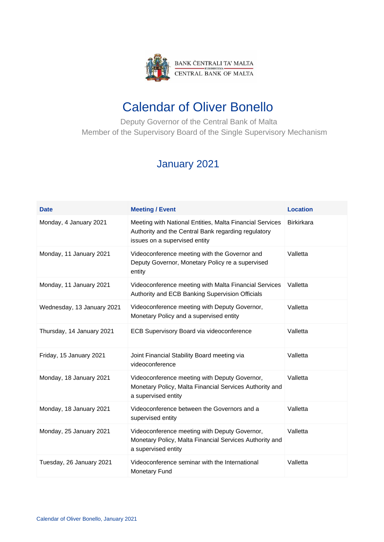

## Calendar of Oliver Bonello

 Deputy Governor of the Central Bank of Malta Member of the Supervisory Board of the Single Supervisory Mechanism

## January 2021

| <b>Date</b>                | <b>Meeting / Event</b>                                                                                                                           | <b>Location</b>   |
|----------------------------|--------------------------------------------------------------------------------------------------------------------------------------------------|-------------------|
| Monday, 4 January 2021     | Meeting with National Entities, Malta Financial Services<br>Authority and the Central Bank regarding regulatory<br>issues on a supervised entity | <b>Birkirkara</b> |
| Monday, 11 January 2021    | Videoconference meeting with the Governor and<br>Deputy Governor, Monetary Policy re a supervised<br>entity                                      | Valletta          |
| Monday, 11 January 2021    | Videoconference meeting with Malta Financial Services<br>Authority and ECB Banking Supervision Officials                                         | Valletta          |
| Wednesday, 13 January 2021 | Videoconference meeting with Deputy Governor,<br>Monetary Policy and a supervised entity                                                         | Valletta          |
| Thursday, 14 January 2021  | ECB Supervisory Board via videoconference                                                                                                        | Valletta          |
| Friday, 15 January 2021    | Joint Financial Stability Board meeting via<br>videoconference                                                                                   | Valletta          |
| Monday, 18 January 2021    | Videoconference meeting with Deputy Governor,<br>Monetary Policy, Malta Financial Services Authority and<br>a supervised entity                  | Valletta          |
| Monday, 18 January 2021    | Videoconference between the Governors and a<br>supervised entity                                                                                 | Valletta          |
| Monday, 25 January 2021    | Videoconference meeting with Deputy Governor,<br>Monetary Policy, Malta Financial Services Authority and<br>a supervised entity                  | Valletta          |
| Tuesday, 26 January 2021   | Videoconference seminar with the International<br><b>Monetary Fund</b>                                                                           | Valletta          |